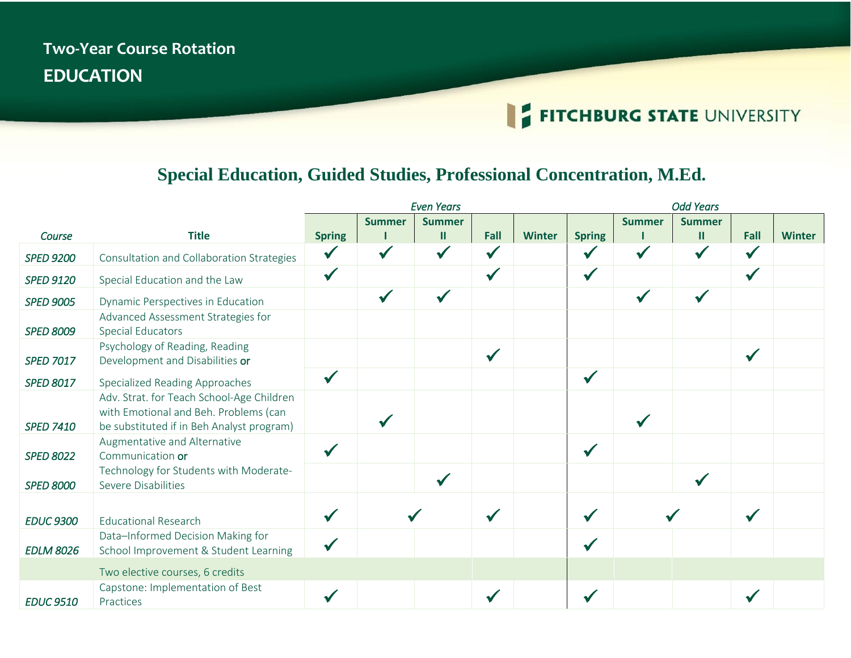## **Two-Year Course Rotation EDUCATION**

## FITCHBURG STATE UNIVERSITY

## **Special Education, Guided Studies, Professional Concentration, M.Ed.**

|                  |                                                                                                                                 | <b>Even Years</b> |               |               |              |               | <b>Odd Years</b> |               |               |              |               |
|------------------|---------------------------------------------------------------------------------------------------------------------------------|-------------------|---------------|---------------|--------------|---------------|------------------|---------------|---------------|--------------|---------------|
|                  |                                                                                                                                 |                   | <b>Summer</b> | <b>Summer</b> |              |               |                  | <b>Summer</b> | <b>Summer</b> |              |               |
| Course           | <b>Title</b>                                                                                                                    | <b>Spring</b>     |               | $\mathbf{II}$ | Fall         | <b>Winter</b> | <b>Spring</b>    |               | $\mathbf{II}$ | Fall         | <b>Winter</b> |
| <b>SPED 9200</b> | Consultation and Collaboration Strategies                                                                                       | $\checkmark$      | $\checkmark$  | $\checkmark$  | $\checkmark$ |               | $\sqrt{}$        | $\checkmark$  |               | $\checkmark$ |               |
| <b>SPED 9120</b> | Special Education and the Law                                                                                                   | $\checkmark$      |               |               | $\checkmark$ |               | $\checkmark$     |               |               | $\checkmark$ |               |
| <b>SPED 9005</b> | Dynamic Perspectives in Education                                                                                               |                   | $\checkmark$  |               |              |               |                  | √             |               |              |               |
| <b>SPED 8009</b> | Advanced Assessment Strategies for<br><b>Special Educators</b>                                                                  |                   |               |               |              |               |                  |               |               |              |               |
| <b>SPED 7017</b> | Psychology of Reading, Reading<br>Development and Disabilities or                                                               |                   |               |               | $\checkmark$ |               |                  |               |               | $\checkmark$ |               |
| <b>SPED 8017</b> | Specialized Reading Approaches                                                                                                  | $\checkmark$      |               |               |              |               | $\checkmark$     |               |               |              |               |
| <b>SPED 7410</b> | Adv. Strat. for Teach School-Age Children<br>with Emotional and Beh. Problems (can<br>be substituted if in Beh Analyst program) |                   |               |               |              |               |                  |               |               |              |               |
| <b>SPED 8022</b> | Augmentative and Alternative<br>Communication or                                                                                | $\checkmark$      |               |               |              |               | $\checkmark$     |               |               |              |               |
| <b>SPED 8000</b> | Technology for Students with Moderate-<br><b>Severe Disabilities</b>                                                            |                   |               | $\checkmark$  |              |               |                  |               |               |              |               |
| <b>EDUC 9300</b> | <b>Educational Research</b>                                                                                                     | $\checkmark$      |               |               | $\checkmark$ |               | $\checkmark$     |               |               |              |               |
| <b>EDLM 8026</b> | Data-Informed Decision Making for<br>School Improvement & Student Learning                                                      |                   |               |               |              |               |                  |               |               |              |               |
|                  | Two elective courses, 6 credits                                                                                                 |                   |               |               |              |               |                  |               |               |              |               |
| <b>EDUC 9510</b> | Capstone: Implementation of Best<br>Practices                                                                                   | $\checkmark$      |               |               |              |               |                  |               |               |              |               |